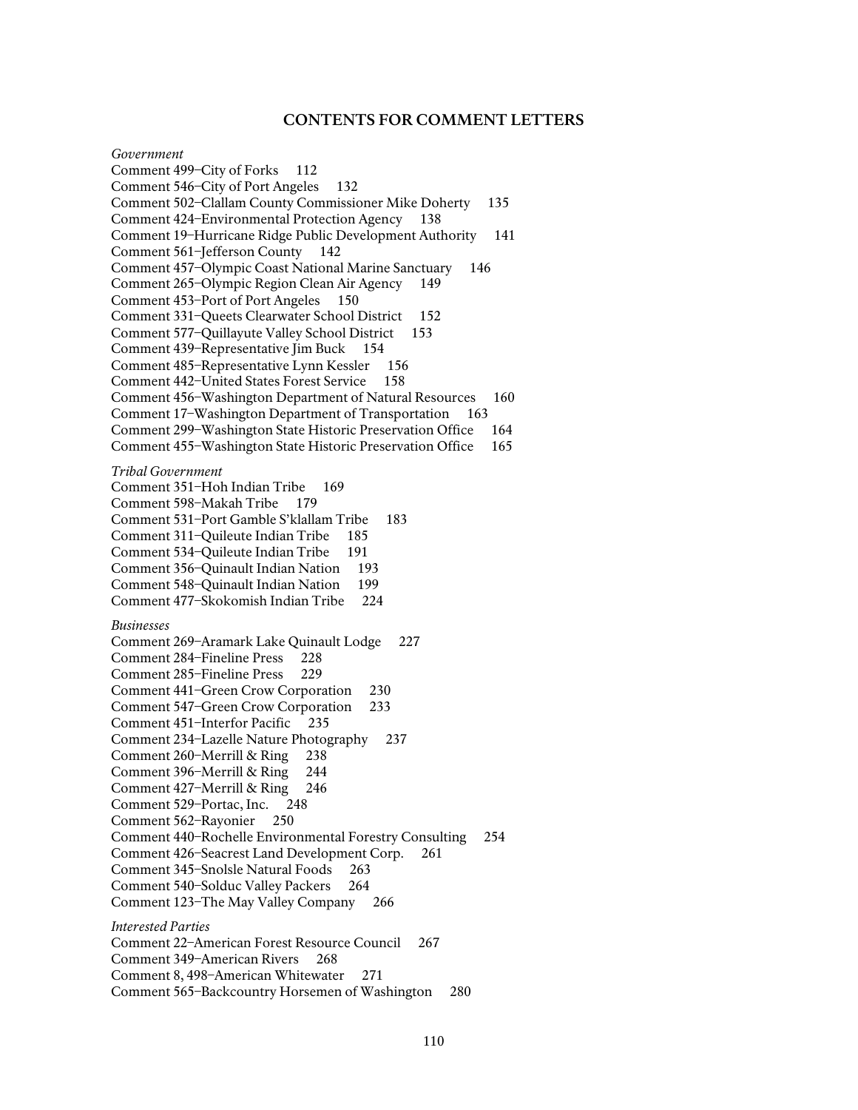## **CONTENTS FOR COMMENT LETTERS**

*Government*  Comment 499–City of Forks 112 Comment 546–City of Port Angeles 132 Comment 502–Clallam County Commissioner Mike Doherty 135 Comment 424–Environmental Protection Agency 138 Comment 19–Hurricane Ridge Public Development Authority 141 Comment 561–Jefferson County 142 Comment 457–Olympic Coast National Marine Sanctuary 146 Comment 265–Olympic Region Clean Air Agency 149 Comment 453–Port of Port Angeles 150 Comment 331–Queets Clearwater School District 152 Comment 577–Quillayute Valley School District 153 Comment 439–Representative Jim Buck 154 Comment 485–Representative Lynn Kessler 156 Comment 442–United States Forest Service 158 Comment 456–Washington Department of Natural Resources 160 Comment 17–Washington Department of Transportation 163 Comment 299–Washington State Historic Preservation Office 164 Comment 455–Washington State Historic Preservation Office 165 *Tribal Government*  Comment 351–Hoh Indian Tribe 169 Comment 598–Makah Tribe 179 Comment 531–Port Gamble S'klallam Tribe 183 Comment 311–Quileute Indian Tribe 185 Comment 534–Quileute Indian Tribe 191 Comment 356–Quinault Indian Nation 193 Comment 548–Quinault Indian Nation 199<br>Comment 477–Skokomish Indian Tribe 224 Comment 477-Skokomish Indian Tribe *Businesses*  Comment 269–Aramark Lake Quinault Lodge 227 Comment 284–Fineline Press 228 Comment 285–Fineline Press 229 Comment 441–Green Crow Corporation 230 Comment 547–Green Crow Corporation 233 Comment 451–Interfor Pacific 235 Comment 234–Lazelle Nature Photography 237 Comment 260–Merrill & Ring 238 Comment 396–Merrill & Ring 244 Comment 427–Merrill & Ring 246 Comment 529–Portac, Inc. 248 Comment 562–Rayonier 250 Comment 440–Rochelle Environmental Forestry Consulting 254 Comment 426–Seacrest Land Development Corp. 261 Comment 345–Snolsle Natural Foods 263 Comment 540–Solduc Valley Packers 264 Comment 123–The May Valley Company 266 *Interested Parties*  Comment 22–American Forest Resource Council 267 Comment 349–American Rivers 268 Comment 8, 498–American Whitewater 271 Comment 565–Backcountry Horsemen of Washington 280